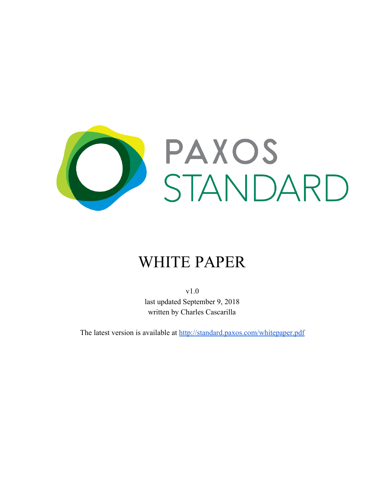

# WHITE PAPER

v1.0 last updated September 9, 2018 written by Charles Cascarilla

The latest version is available at <http://standard.paxos.com/whitepaper.pdf>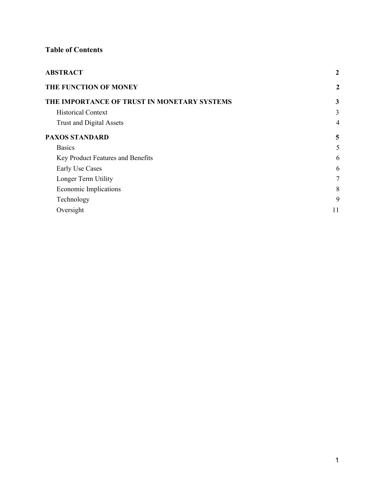# **Table of Contents**

| <b>ABSTRACT</b>                             | $\boldsymbol{2}$ |
|---------------------------------------------|------------------|
| THE FUNCTION OF MONEY                       | $\boldsymbol{2}$ |
| THE IMPORTANCE OF TRUST IN MONETARY SYSTEMS | 3                |
| <b>Historical Context</b>                   | 3                |
| <b>Trust and Digital Assets</b>             | $\overline{4}$   |
| <b>PAXOS STANDARD</b>                       | 5                |
| <b>Basics</b>                               | 5                |
| Key Product Features and Benefits           | 6                |
| Early Use Cases                             | 6                |
| Longer Term Utility                         | $7\phantom{.0}$  |
| Economic Implications                       | 8                |
| Technology                                  | 9                |
| Oversight                                   | 11               |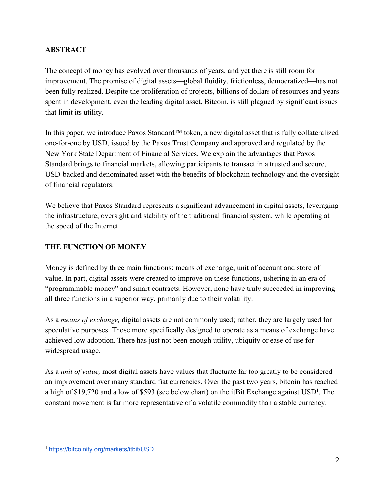# <span id="page-2-0"></span>**ABSTRACT**

The concept of money has evolved over thousands of years, and yet there is still room for improvement. The promise of digital assets—global fluidity, frictionless, democratized—has not been fully realized. Despite the proliferation of projects, billions of dollars of resources and years spent in development, even the leading digital asset, Bitcoin, is still plagued by significant issues that limit its utility.

In this paper, we introduce Paxos Standard™ token, a new digital asset that is fully collateralized one-for-one by USD, issued by the Paxos Trust Company and approved and regulated by the New York State Department of Financial Services. We explain the advantages that Paxos Standard brings to financial markets, allowing participants to transact in a trusted and secure, USD-backed and denominated asset with the benefits of blockchain technology and the oversight of financial regulators.

We believe that Paxos Standard represents a significant advancement in digital assets, leveraging the infrastructure, oversight and stability of the traditional financial system, while operating at the speed of the Internet.

#### <span id="page-2-1"></span>**THE FUNCTION OF MONEY**

Money is defined by three main functions: means of exchange, unit of account and store of value. In part, digital assets were created to improve on these functions, ushering in an era of "programmable money" and smart contracts. However, none have truly succeeded in improving all three functions in a superior way, primarily due to their volatility.

As a *means of exchange,* digital assets are not commonly used; rather, they are largely used for speculative purposes. Those more specifically designed to operate as a means of exchange have achieved low adoption. There has just not been enough utility, ubiquity or ease of use for widespread usage.

As a *unit of value,* most digital assets have values that fluctuate far too greatly to be considered an improvement over many standard fiat currencies. Over the past two years, bitcoin has reached a high of \$19,720 and a low of \$593 (see below chart) on the itBit Exchange against  $USD<sup>1</sup>$ . The constant movement is far more representative of a volatile commodity than a stable currency.

<sup>1</sup> <https://bitcoinity.org/markets/itbit/USD>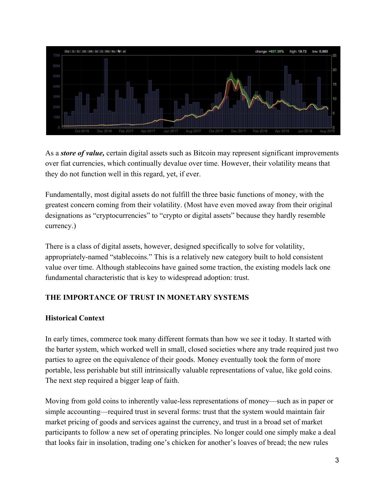

As a *store of value,* certain digital assets such as Bitcoin may represent significant improvements over fiat currencies, which continually devalue over time. However, their volatility means that they do not function well in this regard, yet, if ever.

Fundamentally, most digital assets do not fulfill the three basic functions of money, with the greatest concern coming from their volatility. (Most have even moved away from their original designations as "cryptocurrencies" to "crypto or digital assets" because they hardly resemble currency.)

There is a class of digital assets, however, designed specifically to solve for volatility, appropriately-named "stablecoins." This is a relatively new category built to hold consistent value over time. Although stablecoins have gained some traction, the existing models lack one fundamental characteristic that is key to widespread adoption: trust.

# <span id="page-3-0"></span>**THE IMPORTANCE OF TRUST IN MONETARY SYSTEMS**

# <span id="page-3-1"></span>**Historical Context**

In early times, commerce took many different formats than how we see it today. It started with the barter system, which worked well in small, closed societies where any trade required just two parties to agree on the equivalence of their goods. Money eventually took the form of more portable, less perishable but still intrinsically valuable representations of value, like gold coins. The next step required a bigger leap of faith.

Moving from gold coins to inherently value-less representations of money—such as in paper or simple accounting—required trust in several forms: trust that the system would maintain fair market pricing of goods and services against the currency, and trust in a broad set of market participants to follow a new set of operating principles. No longer could one simply make a deal that looks fair in insolation, trading one's chicken for another's loaves of bread; the new rules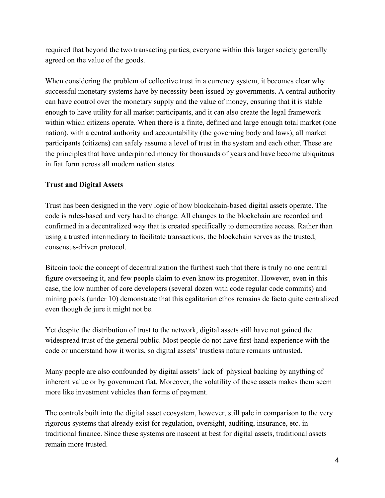required that beyond the two transacting parties, everyone within this larger society generally agreed on the value of the goods.

When considering the problem of collective trust in a currency system, it becomes clear why successful monetary systems have by necessity been issued by governments. A central authority can have control over the monetary supply and the value of money, ensuring that it is stable enough to have utility for all market participants, and it can also create the legal framework within which citizens operate. When there is a finite, defined and large enough total market (one nation), with a central authority and accountability (the governing body and laws), all market participants (citizens) can safely assume a level of trust in the system and each other. These are the principles that have underpinned money for thousands of years and have become ubiquitous in fiat form across all modern nation states.

# <span id="page-4-0"></span>**Trust and Digital Assets**

Trust has been designed in the very logic of how blockchain-based digital assets operate. The code is rules-based and very hard to change. All changes to the blockchain are recorded and confirmed in a decentralized way that is created specifically to democratize access. Rather than using a trusted intermediary to facilitate transactions, the blockchain serves as the trusted, consensus-driven protocol.

Bitcoin took the concept of decentralization the furthest such that there is truly no one central figure overseeing it, and few people claim to even know its progenitor. However, even in this case, the low number of core developers (several dozen with code regular code commits) and mining pools (under 10) demonstrate that this egalitarian ethos remains de facto quite centralized even though de jure it might not be.

Yet despite the distribution of trust to the network, digital assets still have not gained the widespread trust of the general public. Most people do not have first-hand experience with the code or understand how it works, so digital assets' trustless nature remains untrusted.

Many people are also confounded by digital assets' lack of physical backing by anything of inherent value or by government fiat. Moreover, the volatility of these assets makes them seem more like investment vehicles than forms of payment.

The controls built into the digital asset ecosystem, however, still pale in comparison to the very rigorous systems that already exist for regulation, oversight, auditing, insurance, etc. in traditional finance. Since these systems are nascent at best for digital assets, traditional assets remain more trusted.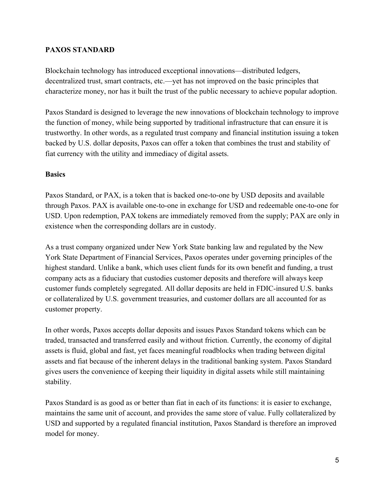#### <span id="page-5-0"></span>**PAXOS STANDARD**

Blockchain technology has introduced exceptional innovations—distributed ledgers, decentralized trust, smart contracts, etc.—yet has not improved on the basic principles that characterize money, nor has it built the trust of the public necessary to achieve popular adoption.

Paxos Standard is designed to leverage the new innovations of blockchain technology to improve the function of money, while being supported by traditional infrastructure that can ensure it is trustworthy. In other words, as a regulated trust company and financial institution issuing a token backed by U.S. dollar deposits, Paxos can offer a token that combines the trust and stability of fiat currency with the utility and immediacy of digital assets.

#### <span id="page-5-1"></span>**Basics**

Paxos Standard, or PAX, is a token that is backed one-to-one by USD deposits and available through Paxos. PAX is available one-to-one in exchange for USD and redeemable one-to-one for USD. Upon redemption, PAX tokens are immediately removed from the supply; PAX are only in existence when the corresponding dollars are in custody.

As a trust company organized under New York State banking law and regulated by the New York State Department of Financial Services, Paxos operates under governing principles of the highest standard. Unlike a bank, which uses client funds for its own benefit and funding, a trust company acts as a fiduciary that custodies customer deposits and therefore will always keep customer funds completely segregated. All dollar deposits are held in FDIC-insured U.S. banks or collateralized by U.S. government treasuries, and customer dollars are all accounted for as customer property.

In other words, Paxos accepts dollar deposits and issues Paxos Standard tokens which can be traded, transacted and transferred easily and without friction. Currently, the economy of digital assets is fluid, global and fast, yet faces meaningful roadblocks when trading between digital assets and fiat because of the inherent delays in the traditional banking system. Paxos Standard gives users the convenience of keeping their liquidity in digital assets while still maintaining stability.

Paxos Standard is as good as or better than fiat in each of its functions: it is easier to exchange, maintains the same unit of account, and provides the same store of value. Fully collateralized by USD and supported by a regulated financial institution, Paxos Standard is therefore an improved model for money.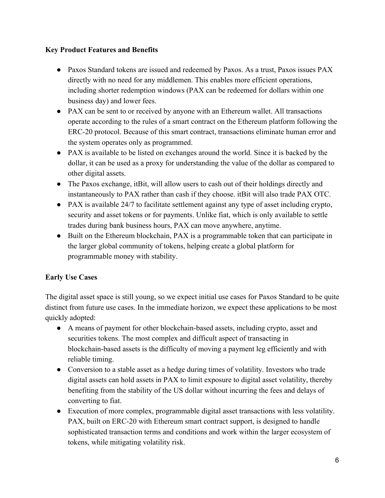# <span id="page-6-0"></span>**Key Product Features and Benefits**

- Paxos Standard tokens are issued and redeemed by Paxos. As a trust, Paxos issues PAX directly with no need for any middlemen. This enables more efficient operations, including shorter redemption windows (PAX can be redeemed for dollars within one business day) and lower fees.
- PAX can be sent to or received by anyone with an Ethereum wallet. All transactions operate according to the rules of a smart contract on the Ethereum platform following the ERC-20 protocol. Because of this smart contract, transactions eliminate human error and the system operates only as programmed.
- PAX is available to be listed on exchanges around the world. Since it is backed by the dollar, it can be used as a proxy for understanding the value of the dollar as compared to other digital assets.
- The Paxos exchange, itBit, will allow users to cash out of their holdings directly and instantaneously to PAX rather than cash if they choose. itBit will also trade PAX OTC.
- PAX is available 24/7 to facilitate settlement against any type of asset including crypto, security and asset tokens or for payments. Unlike fiat, which is only available to settle trades during bank business hours, PAX can move anywhere, anytime.
- Built on the Ethereum blockchain, PAX is a programmable token that can participate in the larger global community of tokens, helping create a global platform for programmable money with stability.

# <span id="page-6-1"></span>**Early Use Cases**

The digital asset space is still young, so we expect initial use cases for Paxos Standard to be quite distinct from future use cases. In the immediate horizon, we expect these applications to be most quickly adopted:

- A means of payment for other blockchain-based assets, including crypto, asset and securities tokens. The most complex and difficult aspect of transacting in blockchain-based assets is the difficulty of moving a payment leg efficiently and with reliable timing.
- Conversion to a stable asset as a hedge during times of volatility. Investors who trade digital assets can hold assets in PAX to limit exposure to digital asset volatility, thereby benefiting from the stability of the US dollar without incurring the fees and delays of converting to fiat.
- Execution of more complex, programmable digital asset transactions with less volatility. PAX, built on ERC-20 with Ethereum smart contract support, is designed to handle sophisticated transaction terms and conditions and work within the larger ecosystem of tokens, while mitigating volatility risk.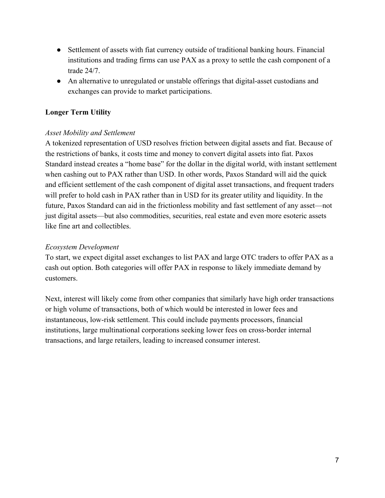- Settlement of assets with fiat currency outside of traditional banking hours. Financial institutions and trading firms can use PAX as a proxy to settle the cash component of a trade 24/7.
- An alternative to unregulated or unstable offerings that digital-asset custodians and exchanges can provide to market participations.

## <span id="page-7-0"></span>**Longer Term Utility**

#### *Asset Mobility and Settlement*

A tokenized representation of USD resolves friction between digital assets and fiat. Because of the restrictions of banks, it costs time and money to convert digital assets into fiat. Paxos Standard instead creates a "home base" for the dollar in the digital world, with instant settlement when cashing out to PAX rather than USD. In other words, Paxos Standard will aid the quick and efficient settlement of the cash component of digital asset transactions, and frequent traders will prefer to hold cash in PAX rather than in USD for its greater utility and liquidity. In the future, Paxos Standard can aid in the frictionless mobility and fast settlement of any asset—not just digital assets—but also commodities, securities, real estate and even more esoteric assets like fine art and collectibles.

#### *Ecosystem Development*

To start, we expect digital asset exchanges to list PAX and large OTC traders to offer PAX as a cash out option. Both categories will offer PAX in response to likely immediate demand by customers.

Next, interest will likely come from other companies that similarly have high order transactions or high volume of transactions, both of which would be interested in lower fees and instantaneous, low-risk settlement. This could include payments processors, financial institutions, large multinational corporations seeking lower fees on cross-border internal transactions, and large retailers, leading to increased consumer interest.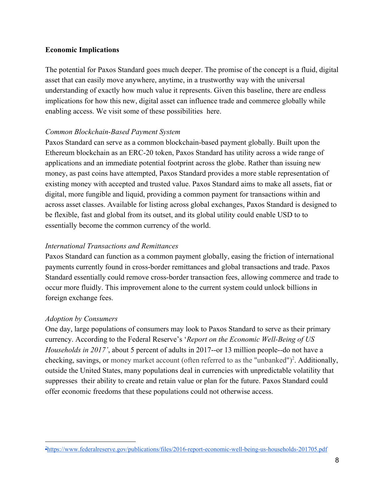#### <span id="page-8-0"></span>**Economic Implications**

The potential for Paxos Standard goes much deeper. The promise of the concept is a fluid, digital asset that can easily move anywhere, anytime, in a trustworthy way with the universal understanding of exactly how much value it represents. Given this baseline, there are endless implications for how this new, digital asset can influence trade and commerce globally while enabling access. We visit some of these possibilities here.

#### *Common Blockchain-Based Payment System*

Paxos Standard can serve as a common blockchain-based payment globally. Built upon the Ethereum blockchain as an ERC-20 token, Paxos Standard has utility across a wide range of applications and an immediate potential footprint across the globe. Rather than issuing new money, as past coins have attempted, Paxos Standard provides a more stable representation of existing money with accepted and trusted value. Paxos Standard aims to make all assets, fiat or digital, more fungible and liquid, providing a common payment for transactions within and across asset classes. Available for listing across global exchanges, Paxos Standard is designed to be flexible, fast and global from its outset, and its global utility could enable USD to to essentially become the common currency of the world.

#### *International Transactions and Remittances*

Paxos Standard can function as a common payment globally, easing the friction of international payments currently found in cross-border remittances and global transactions and trade. Paxos Standard essentially could remove cross-border transaction fees, allowing commerce and trade to occur more fluidly. This improvement alone to the current system could unlock billions in foreign exchange fees.

#### *Adoption by Consumers*

One day, large populations of consumers may look to Paxos Standard to serve as their primary currency. According to the Federal Reserve's '*Report on the Economic Well-Being of US Households in 2017'*, about 5 percent of adults in 2017--or 13 million people--do not have a checking, savings, or money market account (often referred to as the "unbanked")<sup>2</sup>. Additionally, outside the United States, many populations deal in currencies with unpredictable volatility that suppresses their ability to create and retain value or plan for the future. Paxos Standard could offer economic freedoms that these populations could not otherwise access.

<sup>&</sup>lt;sup>2</sup><https://www.federalreserve.gov/publications/files/2016-report-economic-well-being-us-households-201705.pdf>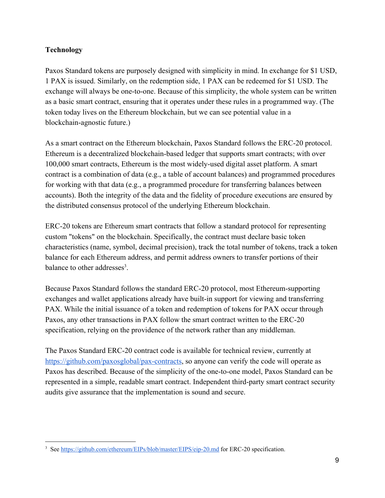# <span id="page-9-0"></span>**Technology**

Paxos Standard tokens are purposely designed with simplicity in mind. In exchange for \$1 USD, 1 PAX is issued. Similarly, on the redemption side, 1 PAX can be redeemed for \$1 USD. The exchange will always be one-to-one. Because of this simplicity, the whole system can be written as a basic smart contract, ensuring that it operates under these rules in a programmed way. (The token today lives on the Ethereum blockchain, but we can see potential value in a blockchain-agnostic future.)

As a smart contract on the Ethereum blockchain, Paxos Standard follows the ERC-20 protocol. Ethereum is a decentralized blockchain-based ledger that supports smart contracts; with over 100,000 smart contracts, Ethereum is the most widely-used digital asset platform. A smart contract is a combination of data (e.g., a table of account balances) and programmed procedures for working with that data (e.g., a programmed procedure for transferring balances between accounts). Both the integrity of the data and the fidelity of procedure executions are ensured by the distributed consensus protocol of the underlying Ethereum blockchain.

ERC-20 tokens are Ethereum smart contracts that follow a standard protocol for representing custom "tokens" on the blockchain. Specifically, the contract must declare basic token characteristics (name, symbol, decimal precision), track the total number of tokens, track a token balance for each Ethereum address, and permit address owners to transfer portions of their balance to other addresses $3$ 

Because Paxos Standard follows the standard ERC-20 protocol, most Ethereum-supporting exchanges and wallet applications already have built-in support for viewing and transferring PAX. While the initial issuance of a token and redemption of tokens for PAX occur through Paxos, any other transactions in PAX follow the smart contract written to the ERC-20 specification, relying on the providence of the network rather than any middleman.

The Paxos Standard ERC-20 contract code is available for technical review, currently at [https://github.com/paxosglobal/pax-contracts,](https://github.com/paxosglobal/pax-contracts) so anyone can verify the code will operate as Paxos has described. Because of the simplicity of the one-to-one model, Paxos Standard can be represented in a simple, readable smart contract. Independent third-party smart contract security audits give assurance that the implementation is sound and secure.

<sup>&</sup>lt;sup>3</sup> See <https://github.com/ethereum/EIPs/blob/master/EIPS/eip-20.md>for ERC-20 specification.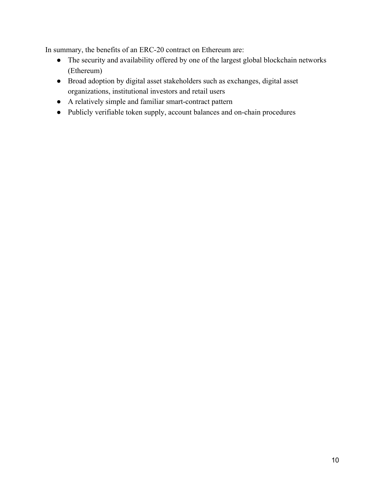In summary, the benefits of an ERC-20 contract on Ethereum are:

- The security and availability offered by one of the largest global blockchain networks (Ethereum)
- Broad adoption by digital asset stakeholders such as exchanges, digital asset organizations, institutional investors and retail users
- A relatively simple and familiar smart-contract pattern
- Publicly verifiable token supply, account balances and on-chain procedures